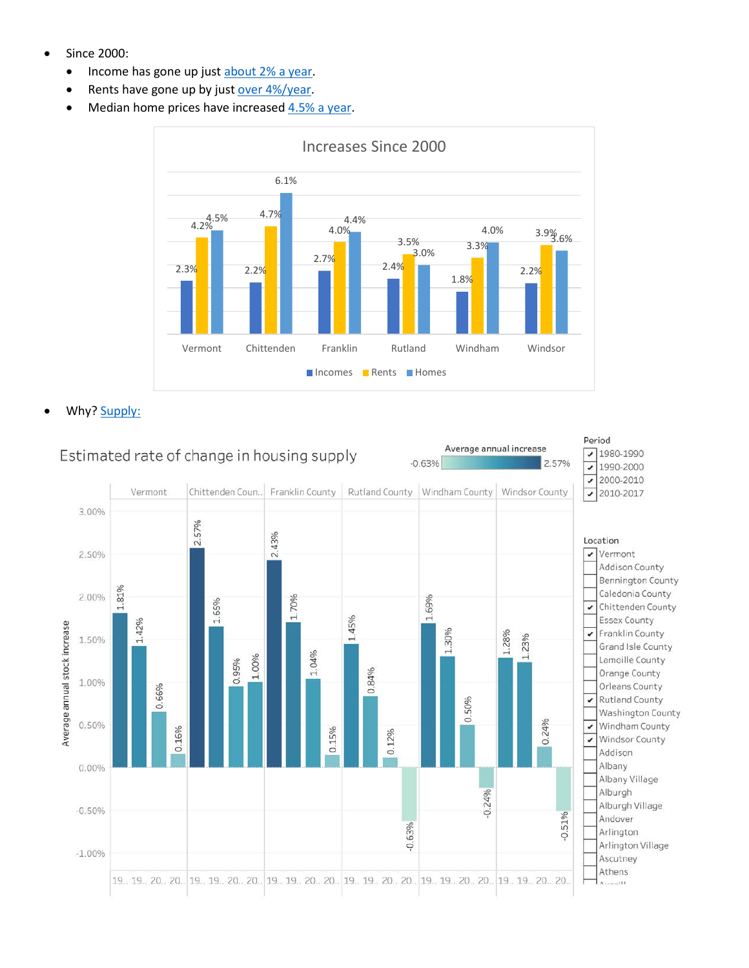- Since 2000:
	- Income has gone up just [about 2% a year.](https://public.tableau.com/shared/X4G8FKCN9?:display_count=y&:origin=viz_share_link&:embed=y)
	- Rents have gone up by just [over 4%/year.](https://public.tableau.com/shared/RKHPMR7KX?:display_count=y&:origin=viz_share_link&:embed=y)
	- Median home prices have increase[d 4.5% a year.](https://public.tableau.com/shared/QGQG76NFN?:display_count=y&:origin=viz_share_link&:embed=y)



Why? [Supply:](https://public.tableau.com/shared/7HCTFMW2R?:display_count=y&:origin=viz_share_link&:embed=y)

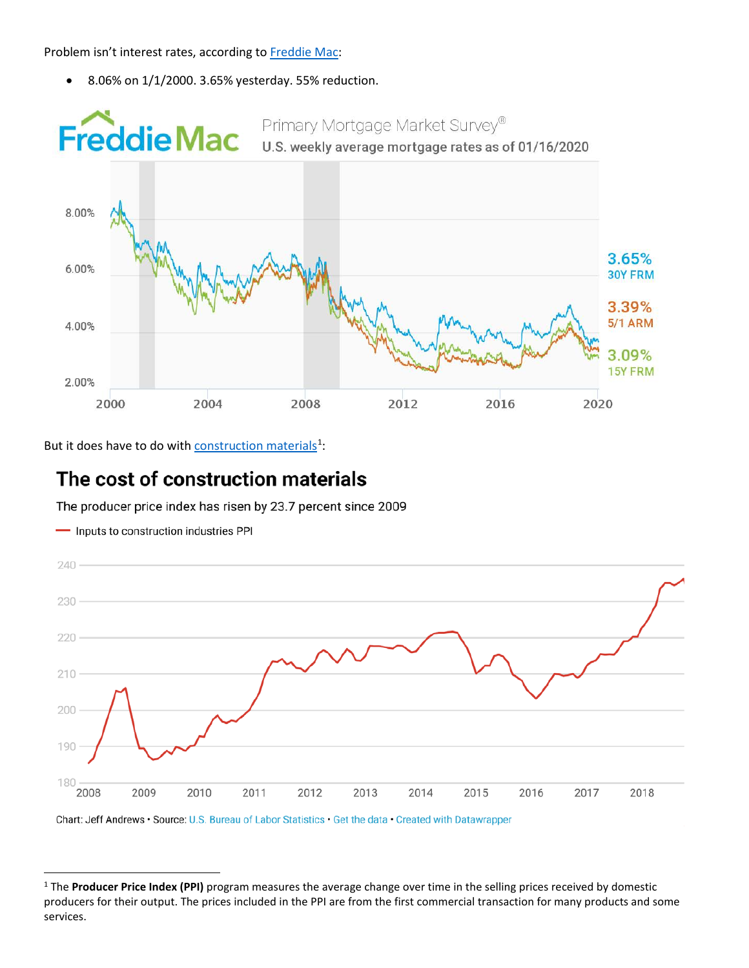Problem isn't interest rates, according to [Freddie Mac:](http://www.freddiemac.com/pmms/)

• 8.06% on 1/1/2000. 3.65% yesterday. 55% reduction.



But it does have to do with **construction materials**<sup>[1](#page-1-0)</sup>:

- Inputs to construction industries PPI

# The cost of construction materials

The producer price index has risen by 23.7 percent since 2009



Chart: Jeff Andrews · Source: U.S. Bureau of Labor Statistics · Get the data · Created with Datawrapper

<span id="page-1-0"></span><sup>&</sup>lt;sup>1</sup> The **Producer Price Index (PPI)** program measures the average change over time in the selling prices received by domestic producers for their output. The prices included in the PPI are from the first commercial transaction for many products and some services.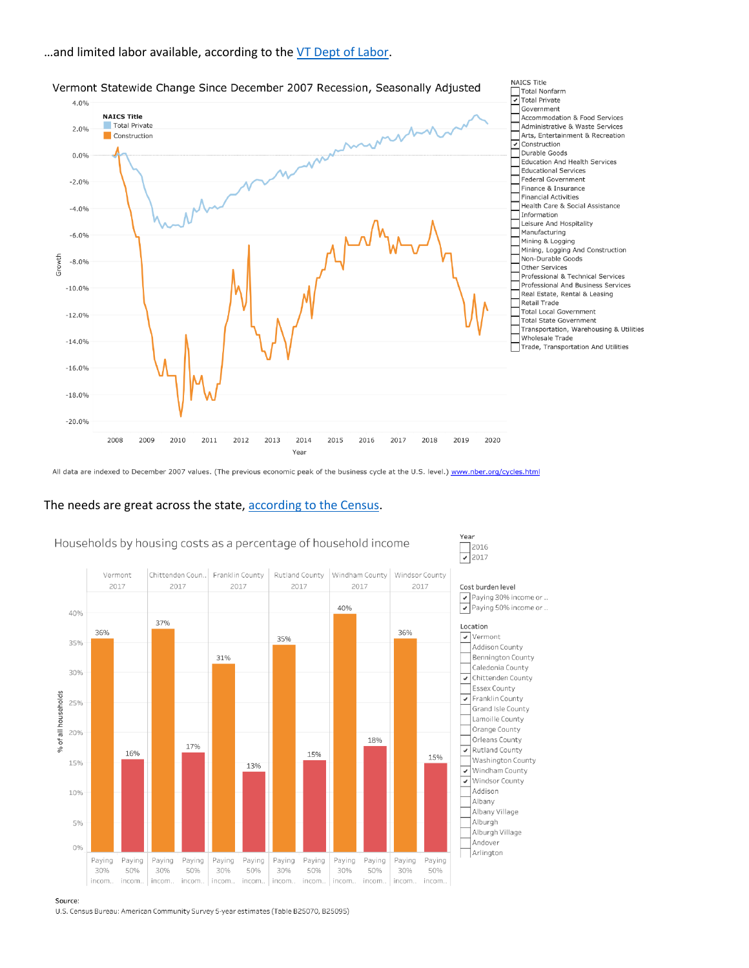## ... and limited labor available, according to the VT Dept of Labor.



Year

#### Vermont Statewide Change Since December 2007 Recession, Seasonally Adjusted

All data are indexed to December 2007 values. (The previous economic peak of the business cycle at the U.S. level.) www.nber.org/cycles.html

# The needs are great across the state, according to the Census.



### Households by housing costs as a percentage of household income

U.S. Census Bureau: American Community Survey 5-year estimates (Table B25070, B25095)

Source: